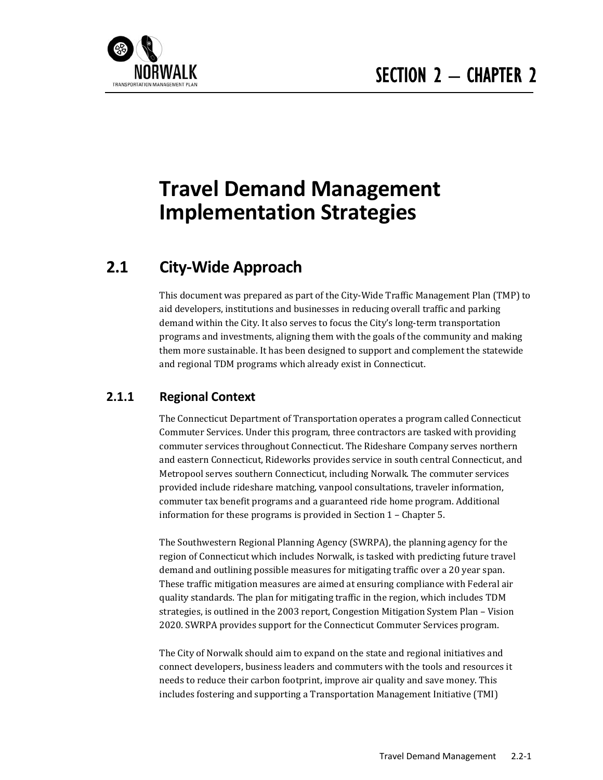

# **Travel Demand Management Implementation Strategies**

# **2.1 City‐Wide Approach**

This document was prepared as part of the City-Wide Traffic Management Plan (TMP) to aid developers, institutions and businesses in reducing overall traffic and parking demand within the City. It also serves to focus the City's long-term transportation programs and investments, aligning them with the goals of the community and making them more sustainable. It has been designed to support and complement the statewide and regional TDM programs which already exist in Connecticut.

## **2.1.1 Regional Context**

The Connecticut Department of Transportation operates a program called Connecticut Commuter Services. Under this program, three contractors are tasked with providing commuter services throughout Connecticut. The Rideshare Company serves northern and eastern Connecticut, Rideworks provides service in south central Connecticut, and Metropool serves southern Connecticut, including Norwalk. The commuter services provided include rideshare matching, vanpool consultations, traveler information, commuter tax benefit programs and a guaranteed ride home program. Additional information for these programs is provided in Section  $1$  – Chapter 5.

The Southwestern Regional Planning Agency (SWRPA), the planning agency for the region of Connecticut which includes Norwalk, is tasked with predicting future travel demand and outlining possible measures for mitigating traffic over a 20 year span. These traffic mitigation measures are aimed at ensuring compliance with Federal air quality standards. The plan for mitigating traffic in the region, which includes TDM strategies, is outlined in the 2003 report, Congestion Mitigation System Plan - Vision 2020. SWRPA provides support for the Connecticut Commuter Services program.

The City of Norwalk should aim to expand on the state and regional initiatives and connect developers, business leaders and commuters with the tools and resources it needs to reduce their carbon footprint, improve air quality and save money. This includes fostering and supporting a Transportation Management Initiative (TMI)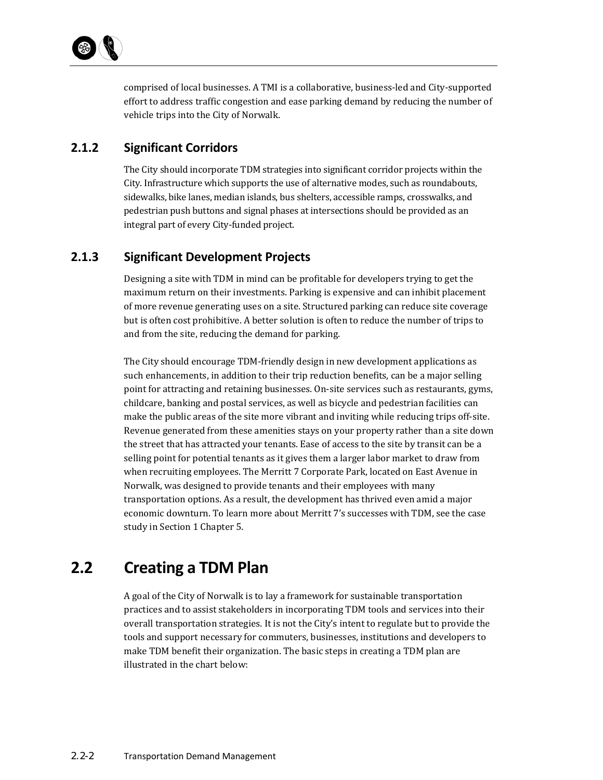comprised of local businesses. A TMI is a collaborative, business-led and City-supported effort to address traffic congestion and ease parking demand by reducing the number of vehicle trips into the City of Norwalk.

# **2.1.2 Significant Corridors**

The City should incorporate TDM strategies into significant corridor projects within the City. Infrastructure which supports the use of alternative modes, such as roundabouts, sidewalks, bike lanes, median islands, bus shelters, accessible ramps, crosswalks, and pedestrian push buttons and signal phases at intersections should be provided as an integral part of every City-funded project.

# **2.1.3 Significant Development Projects**

Designing a site with TDM in mind can be profitable for developers trying to get the maximum return on their investments. Parking is expensive and can inhibit placement of more revenue generating uses on a site. Structured parking can reduce site coverage but is often cost prohibitive. A better solution is often to reduce the number of trips to and from the site, reducing the demand for parking.

The City should encourage TDM-friendly design in new development applications as such enhancements, in addition to their trip reduction benefits, can be a major selling point for attracting and retaining businesses. On-site services such as restaurants, gyms, childcare, banking and postal services, as well as bicycle and pedestrian facilities can make the public areas of the site more vibrant and inviting while reducing trips off-site. Revenue generated from these amenities stays on your property rather than a site down the street that has attracted your tenants. Ease of access to the site by transit can be a selling point for potential tenants as it gives them a larger labor market to draw from when recruiting employees. The Merritt 7 Corporate Park, located on East Avenue in Norwalk, was designed to provide tenants and their employees with many transportation options. As a result, the development has thrived even amid a major economic downturn. To learn more about Merritt 7's successes with TDM, see the case study in Section 1 Chapter 5.

# **2.2 Creating a TDM Plan**

A goal of the City of Norwalk is to lay a framework for sustainable transportation practices and to assist stakeholders in incorporating TDM tools and services into their overall transportation strategies. It is not the City's intent to regulate but to provide the tools and support necessary for commuters, businesses, institutions and developers to make TDM benefit their organization. The basic steps in creating a TDM plan are illustrated in the chart below: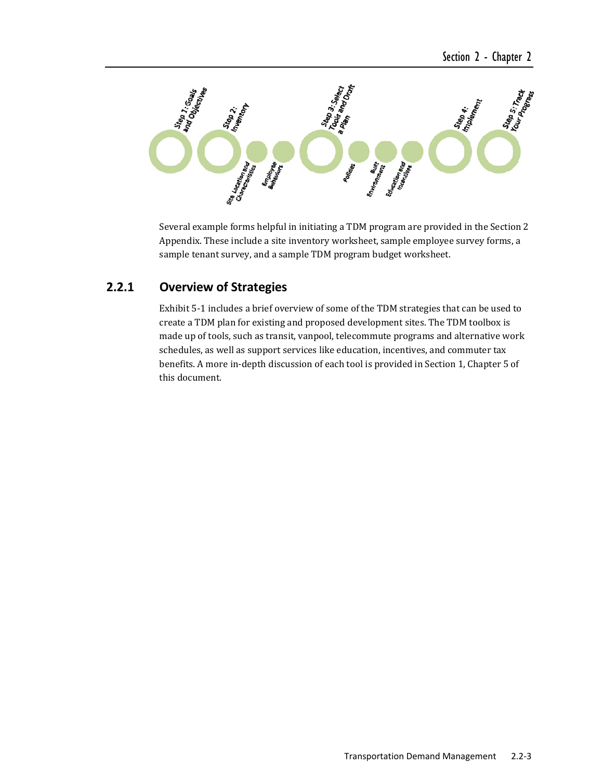

Several example forms helpful in initiating a TDM program are provided in the Section 2 Appendix. These include a site inventory worksheet, sample employee survey forms, a sample tenant survey, and a sample TDM program budget worksheet.

### **2.2.1 Overview of Strategies**

Exhibit 5-1 includes a brief overview of some of the TDM strategies that can be used to create a TDM plan for existing and proposed development sites. The TDM toolbox is made up of tools, such as transit, vanpool, telecommute programs and alternative work schedules, as well as support services like education, incentives, and commuter tax benefits. A more in-depth discussion of each tool is provided in Section 1, Chapter 5 of this document.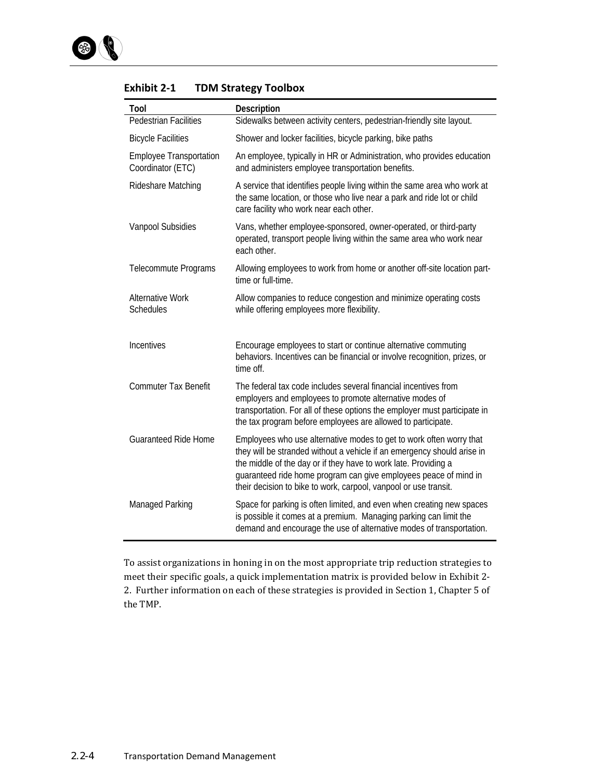| Tool                                                | Description                                                                                                                                                                                                                                                                                                                                               |  |  |  |
|-----------------------------------------------------|-----------------------------------------------------------------------------------------------------------------------------------------------------------------------------------------------------------------------------------------------------------------------------------------------------------------------------------------------------------|--|--|--|
| <b>Pedestrian Facilities</b>                        | Sidewalks between activity centers, pedestrian-friendly site layout.                                                                                                                                                                                                                                                                                      |  |  |  |
| <b>Bicycle Facilities</b>                           | Shower and locker facilities, bicycle parking, bike paths                                                                                                                                                                                                                                                                                                 |  |  |  |
| <b>Employee Transportation</b><br>Coordinator (ETC) | An employee, typically in HR or Administration, who provides education<br>and administers employee transportation benefits.                                                                                                                                                                                                                               |  |  |  |
| Rideshare Matching                                  | A service that identifies people living within the same area who work at<br>the same location, or those who live near a park and ride lot or child<br>care facility who work near each other.                                                                                                                                                             |  |  |  |
| Vanpool Subsidies                                   | Vans, whether employee-sponsored, owner-operated, or third-party<br>operated, transport people living within the same area who work near<br>each other.                                                                                                                                                                                                   |  |  |  |
| Telecommute Programs                                | Allowing employees to work from home or another off-site location part-<br>time or full-time.                                                                                                                                                                                                                                                             |  |  |  |
| <b>Alternative Work</b><br>Schedules                | Allow companies to reduce congestion and minimize operating costs<br>while offering employees more flexibility.                                                                                                                                                                                                                                           |  |  |  |
| Incentives                                          | Encourage employees to start or continue alternative commuting<br>behaviors. Incentives can be financial or involve recognition, prizes, or<br>time off.                                                                                                                                                                                                  |  |  |  |
| <b>Commuter Tax Benefit</b>                         | The federal tax code includes several financial incentives from<br>employers and employees to promote alternative modes of<br>transportation. For all of these options the employer must participate in<br>the tax program before employees are allowed to participate.                                                                                   |  |  |  |
| <b>Guaranteed Ride Home</b>                         | Employees who use alternative modes to get to work often worry that<br>they will be stranded without a vehicle if an emergency should arise in<br>the middle of the day or if they have to work late. Providing a<br>guaranteed ride home program can give employees peace of mind in<br>their decision to bike to work, carpool, vanpool or use transit. |  |  |  |
| Managed Parking                                     | Space for parking is often limited, and even when creating new spaces<br>is possible it comes at a premium. Managing parking can limit the<br>demand and encourage the use of alternative modes of transportation.                                                                                                                                        |  |  |  |

#### **Exhibit 2‐1 TDM Strategy Toolbox**

To assist organizations in honing in on the most appropriate trip reduction strategies to meet their specific goals, a quick implementation matrix is provided below in Exhibit 2-2. Further information on each of these strategies is provided in Section 1, Chapter 5 of the TMP.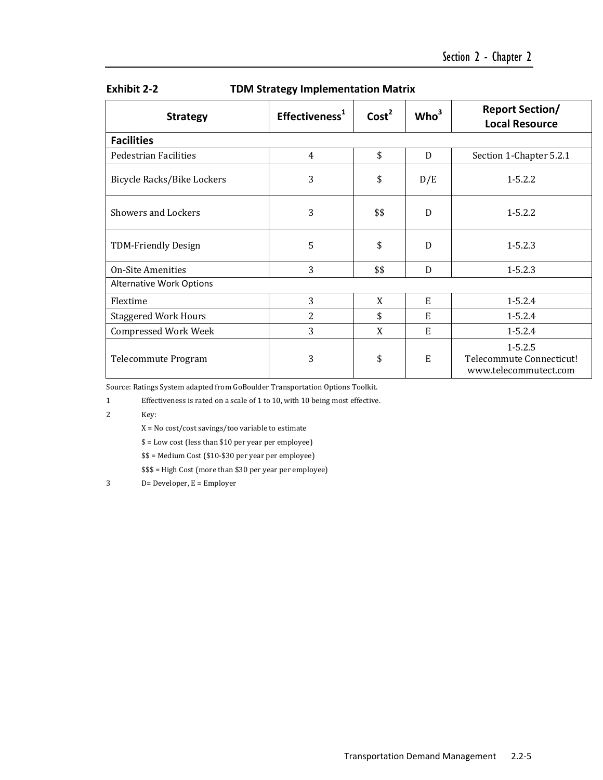| <b>Strategy</b>                 | Effectiveness <sup>1</sup> | Cost <sup>2</sup> | Who <sup>3</sup> | <b>Report Section/</b><br><b>Local Resource</b>                  |
|---------------------------------|----------------------------|-------------------|------------------|------------------------------------------------------------------|
| <b>Facilities</b>               |                            |                   |                  |                                                                  |
| <b>Pedestrian Facilities</b>    | $\overline{4}$             | \$                | D                | Section 1-Chapter 5.2.1                                          |
| Bicycle Racks/Bike Lockers      | 3                          | \$                | D/E              | $1 - 5.2.2$                                                      |
| Showers and Lockers             | 3                          | \$\$              | $\mathbf{D}$     | $1 - 5.2.2$                                                      |
| <b>TDM-Friendly Design</b>      | 5                          | \$                | D                | $1 - 5.2.3$                                                      |
| <b>On-Site Amenities</b>        | 3                          | \$\$              | D                | $1 - 5.2.3$                                                      |
| <b>Alternative Work Options</b> |                            |                   |                  |                                                                  |
| Flextime                        | 3                          | X                 | E                | $1 - 5.2.4$                                                      |
| <b>Staggered Work Hours</b>     | 2                          | \$                | E                | $1 - 5.2.4$                                                      |
| <b>Compressed Work Week</b>     | 3                          | X                 | E                | $1 - 5.2.4$                                                      |
| Telecommute Program             | 3                          | \$                | $\mathbf E$      | $1 - 5.2.5$<br>Telecommute Connecticut!<br>www.telecommutect.com |

#### **Exhibit 2‐2 TDM Strategy Implementation Matrix**

Source: Ratings System adapted from GoBoulder Transportation Options Toolkit.

1 Effectiveness is rated on a scale of 1 to 10, with 10 being most effective.

2 Key:

 $X = No cost/cost savings/too variable to estimate$ 

\$ = Low cost (less than \$10 per year per employee) 

 $$ = Medium Cost ($10 - $30 per year per employee)$ 

\$\$\$ = High Cost (more than \$30 per year per employee)

 $3$  D= Developer,  $E =$  Employer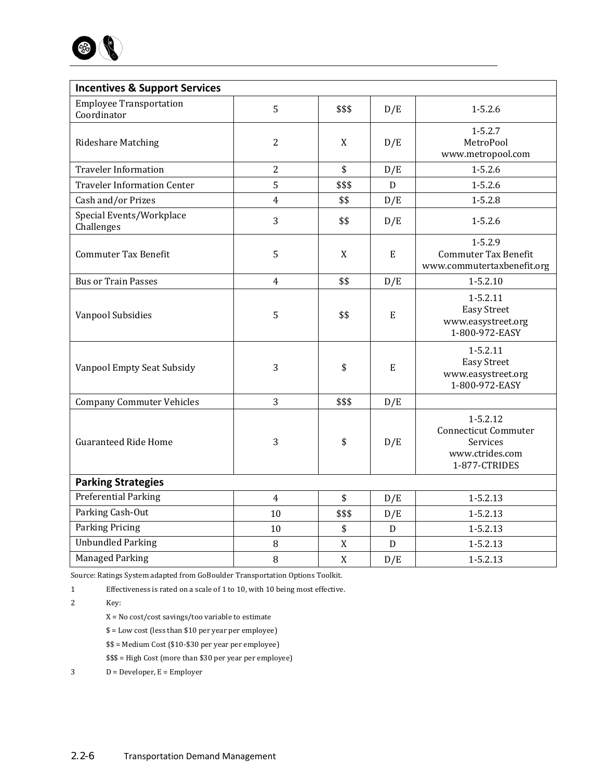

| <b>Incentives &amp; Support Services</b>      |                |                                 |             |                                                                                             |
|-----------------------------------------------|----------------|---------------------------------|-------------|---------------------------------------------------------------------------------------------|
| <b>Employee Transportation</b><br>Coordinator | 5              | \$\$\$                          | D/E         | $1 - 5.2.6$                                                                                 |
| <b>Rideshare Matching</b>                     | $\overline{2}$ | X                               | D/E         | $1 - 5.2.7$<br>MetroPool<br>www.metropool.com                                               |
| <b>Traveler Information</b>                   | $\overline{2}$ | \$                              | D/E         | $1 - 5.2.6$                                                                                 |
| <b>Traveler Information Center</b>            | 5              | \$\$\$                          | D           | $1 - 5.2.6$                                                                                 |
| Cash and/or Prizes                            | 4              | \$\$                            | D/E         | $1 - 5.2.8$                                                                                 |
| Special Events/Workplace<br>Challenges        | 3              | \$\$                            | D/E         | $1 - 5.2.6$                                                                                 |
| <b>Commuter Tax Benefit</b>                   | 5              | X                               | E           | $1 - 5.2.9$<br><b>Commuter Tax Benefit</b><br>www.commutertaxbenefit.org                    |
| <b>Bus or Train Passes</b>                    | $\overline{4}$ | \$\$                            | D/E         | $1 - 5.2.10$                                                                                |
| Vanpool Subsidies                             | 5              | \$\$                            | E           | $1 - 5.2.11$<br><b>Easy Street</b><br>www.easystreet.org<br>1-800-972-EASY                  |
| Vanpool Empty Seat Subsidy                    | 3              | \$                              | E           | $1 - 5.2.11$<br><b>Easy Street</b><br>www.easystreet.org<br>1-800-972-EASY                  |
| <b>Company Commuter Vehicles</b>              | 3              | \$\$\$                          | D/E         |                                                                                             |
| <b>Guaranteed Ride Home</b>                   | 3              | \$                              | D/E         | $1 - 5.2.12$<br><b>Connecticut Commuter</b><br>Services<br>www.ctrides.com<br>1-877-CTRIDES |
| <b>Parking Strategies</b>                     |                |                                 |             |                                                                                             |
| Preferential Parking                          | $\overline{4}$ | $\boldsymbol{\hat{\mathsf{S}}}$ | D/E         | $1 - 5.2.13$                                                                                |
| Parking Cash-Out                              | 10             | \$\$\$                          | D/E         | 1-5.2.13                                                                                    |
| <b>Parking Pricing</b>                        | 10             | \$                              | $\mathbf D$ | 1-5.2.13                                                                                    |
| <b>Unbundled Parking</b>                      | 8              | X                               | $\mathbf D$ | $1 - 5.2.13$                                                                                |
| <b>Managed Parking</b>                        | 8              | X                               | D/E         | $1 - 5.2.13$                                                                                |

Source: Ratings System adapted from GoBoulder Transportation Options Toolkit.

1 Effectiveness is rated on a scale of 1 to 10, with 10 being most effective.

2 Key:

 $\rm X$  = No cost/cost savings/too variable to estimate

- \$ = Low cost (less than \$10 per year per employee)
- $$ = Medium Cost ($10- $30 per year per employee)$

\$\$\$ = High Cost (more than \$30 per year per employee)

 $D = Developer, E = Employer$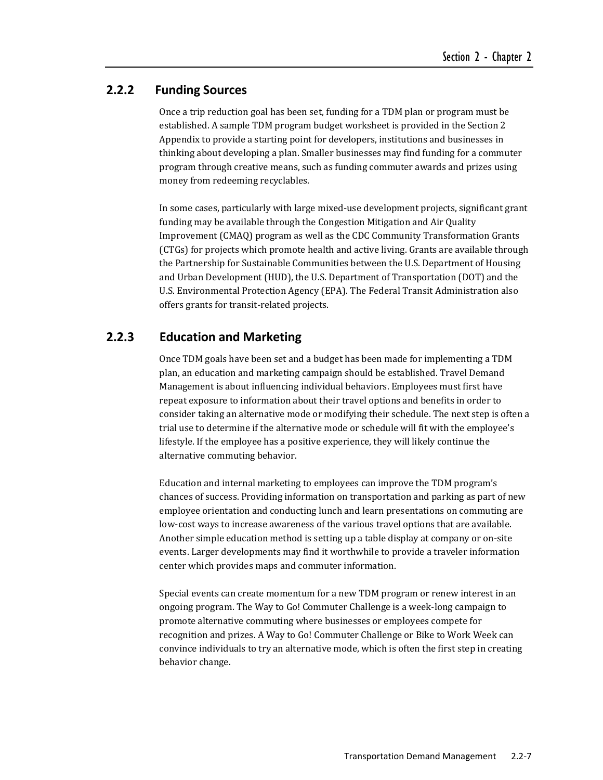#### **2.2.2 Funding Sources**

Once a trip reduction goal has been set, funding for a TDM plan or program must be established. A sample TDM program budget worksheet is provided in the Section 2 Appendix to provide a starting point for developers, institutions and businesses in thinking about developing a plan. Smaller businesses may find funding for a commuter program through creative means, such as funding commuter awards and prizes using money from redeeming recyclables.

In some cases, particularly with large mixed-use development projects, significant grant funding may be available through the Congestion Mitigation and Air Quality Improvement (CMAQ) program as well as the CDC Community Transformation Grants (CTGs) for projects which promote health and active living. Grants are available through the Partnership for Sustainable Communities between the U.S. Department of Housing and Urban Development (HUD), the U.S. Department of Transportation (DOT) and the U.S. Environmental Protection Agency (EPA). The Federal Transit Administration also offers grants for transit-related projects.

### **2.2.3 Education and Marketing**

Once TDM goals have been set and a budget has been made for implementing a TDM plan, an education and marketing campaign should be established. Travel Demand Management is about influencing individual behaviors. Employees must first have repeat exposure to information about their travel options and benefits in order to consider taking an alternative mode or modifying their schedule. The next step is often a trial use to determine if the alternative mode or schedule will fit with the employee's lifestyle. If the employee has a positive experience, they will likely continue the alternative commuting behavior.

Education and internal marketing to employees can improve the TDM program's chances of success. Providing information on transportation and parking as part of new employee orientation and conducting lunch and learn presentations on commuting are low-cost ways to increase awareness of the various travel options that are available. Another simple education method is setting up a table display at company or on-site events. Larger developments may find it worthwhile to provide a traveler information center which provides maps and commuter information.

Special events can create momentum for a new TDM program or renew interest in an ongoing program. The Way to Go! Commuter Challenge is a week-long campaign to promote alternative commuting where businesses or employees compete for recognition and prizes. A Way to Go! Commuter Challenge or Bike to Work Week can convince individuals to try an alternative mode, which is often the first step in creating behavior change.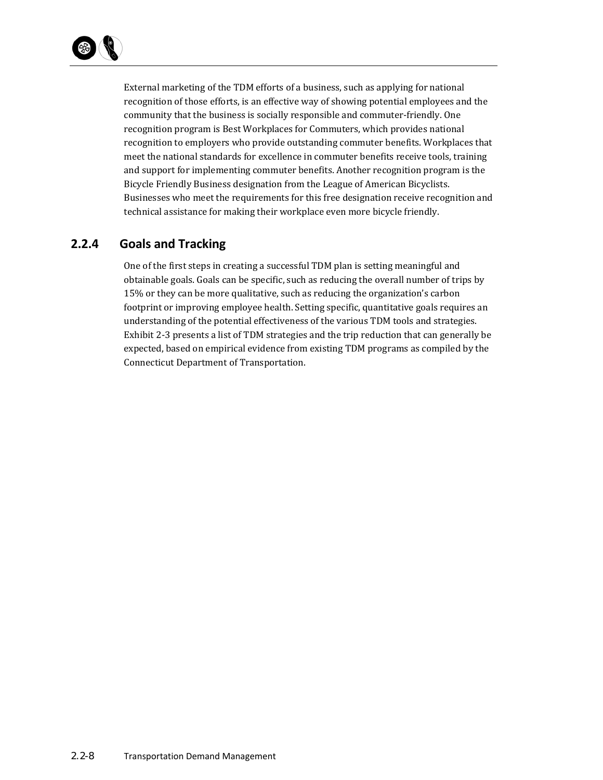

External marketing of the TDM efforts of a business, such as applying for national recognition of those efforts, is an effective way of showing potential employees and the community that the business is socially responsible and commuter-friendly. One recognition program is Best Workplaces for Commuters, which provides national recognition to employers who provide outstanding commuter benefits. Workplaces that meet the national standards for excellence in commuter benefits receive tools, training and support for implementing commuter benefits. Another recognition program is the Bicycle Friendly Business designation from the League of American Bicyclists. Businesses who meet the requirements for this free designation receive recognition and technical assistance for making their workplace even more bicycle friendly.

### **2.2.4 Goals and Tracking**

One of the first steps in creating a successful TDM plan is setting meaningful and obtainable goals. Goals can be specific, such as reducing the overall number of trips by 15% or they can be more qualitative, such as reducing the organization's carbon footprint or improving employee health. Setting specific, quantitative goals requires an understanding of the potential effectiveness of the various TDM tools and strategies. Exhibit 2-3 presents a list of TDM strategies and the trip reduction that can generally be expected, based on empirical evidence from existing TDM programs as compiled by the Connecticut Department of Transportation.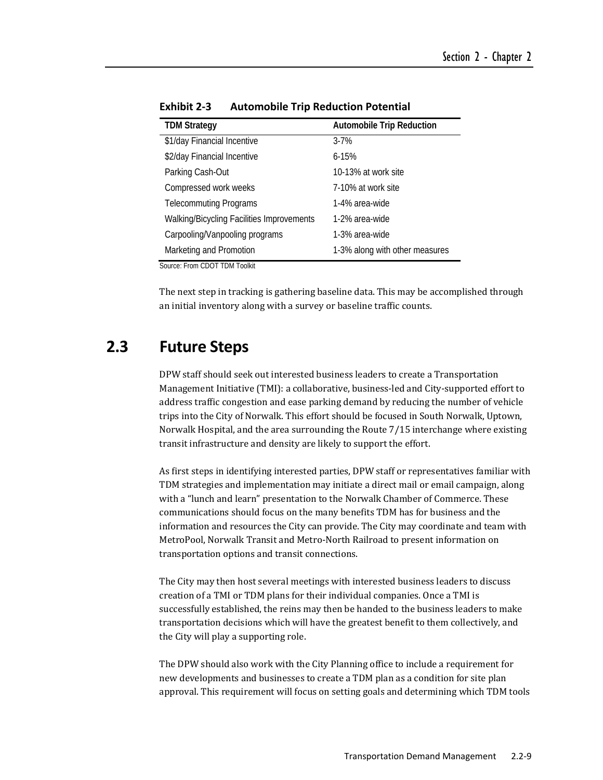| <b>Automobile Trip Reduction</b> |  |  |  |
|----------------------------------|--|--|--|
| $3 - 7%$                         |  |  |  |
| $6 - 15%$                        |  |  |  |
| 10-13% at work site              |  |  |  |
| 7-10% at work site               |  |  |  |
| 1-4% area-wide                   |  |  |  |
| 1-2% area-wide                   |  |  |  |
| 1-3% area-wide                   |  |  |  |
| 1-3% along with other measures   |  |  |  |
|                                  |  |  |  |

**Exhibit 2‐3 Automobile Trip Reduction Potential**

Source: From CDOT TDM Toolkit

The next step in tracking is gathering baseline data. This may be accomplished through an initial inventory along with a survey or baseline traffic counts.

# **2.3 Future Steps**

DPW staff should seek out interested business leaders to create a Transportation Management Initiative (TMI): a collaborative, business-led and City-supported effort to address traffic congestion and ease parking demand by reducing the number of vehicle trips into the City of Norwalk. This effort should be focused in South Norwalk, Uptown, Norwalk Hospital, and the area surrounding the Route 7/15 interchange where existing transit infrastructure and density are likely to support the effort.

As first steps in identifying interested parties, DPW staff or representatives familiar with TDM strategies and implementation may initiate a direct mail or email campaign, along with a "lunch and learn" presentation to the Norwalk Chamber of Commerce. These communications should focus on the many benefits TDM has for business and the information and resources the City can provide. The City may coordinate and team with MetroPool, Norwalk Transit and Metro-North Railroad to present information on transportation options and transit connections.

The City may then host several meetings with interested business leaders to discuss creation of a TMI or TDM plans for their individual companies. Once a TMI is successfully established, the reins may then be handed to the business leaders to make transportation decisions which will have the greatest benefit to them collectively, and the City will play a supporting role.

The DPW should also work with the City Planning office to include a requirement for new developments and businesses to create a TDM plan as a condition for site plan approval. This requirement will focus on setting goals and determining which TDM tools